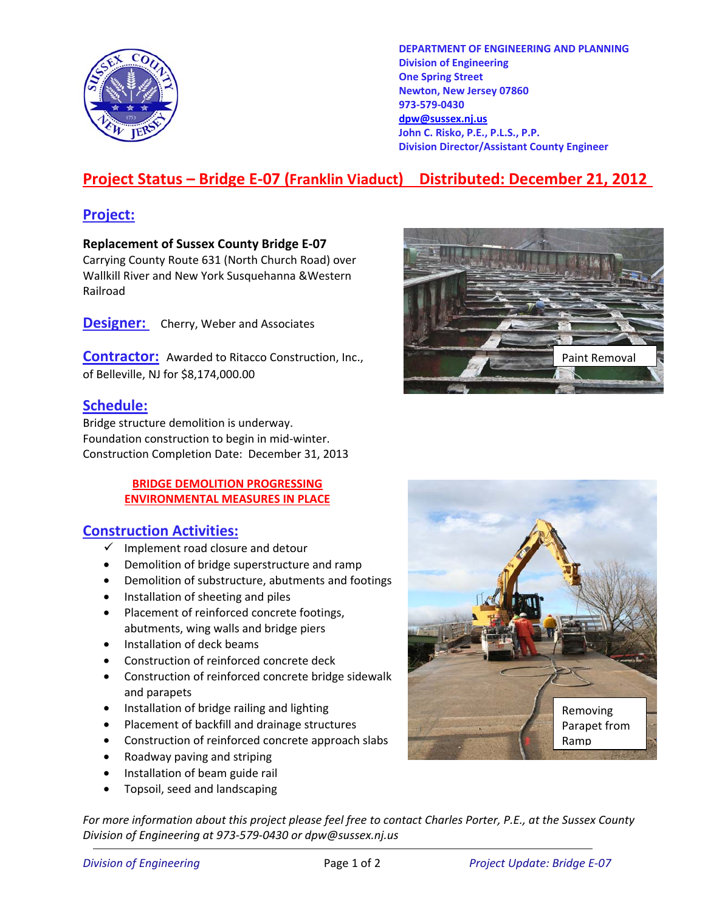

**DEPARTMENT OF ENGINEERING AND PLANNING Division of Engineering One Spring Street Newton, New Jersey 07860 973-579-0430 dpw@sussex.nj.us John C. Risko, P.E., P.L.S., P.P. Division Director/Assistant County Engineer** 

# **Project Status – Bridge E-07 (Franklin Viaduct) Distributed: December 21, 2012**

## **Project:**

**Replacement of Sussex County Bridge E-07**  Carrying County Route 631 (North Church Road) over Wallkill River and New York Susquehanna &Western Railroad

**Designer:** Cherry, Weber and Associates

**Contractor:** Awarded to Ritacco Construction, Inc., of Belleville, NJ for \$8,174,000.00

### **Schedule:**

Bridge structure demolition is underway. Foundation construction to begin in mid-winter. Construction Completion Date: December 31, 2013

#### **BRIDGE DEMOLITION PROGRESSING ENVIRONMENTAL MEASURES IN PLACE**

### **Construction Activities:**

- $\checkmark$  Implement road closure and detour
- Demolition of bridge superstructure and ramp
- Demolition of substructure, abutments and footings
- Installation of sheeting and piles
- Placement of reinforced concrete footings, abutments, wing walls and bridge piers
- Installation of deck beams
- Construction of reinforced concrete deck
- Construction of reinforced concrete bridge sidewalk and parapets
- Installation of bridge railing and lighting
- Placement of backfill and drainage structures
- Construction of reinforced concrete approach slabs
- Roadway paving and striping
- Installation of beam guide rail
- Topsoil, seed and landscaping

*For more information about this project please feel free to contact Charles Porter, P.E., at the Sussex County Division of Engineering at 973-579-0430 or dpw@sussex.nj.us*